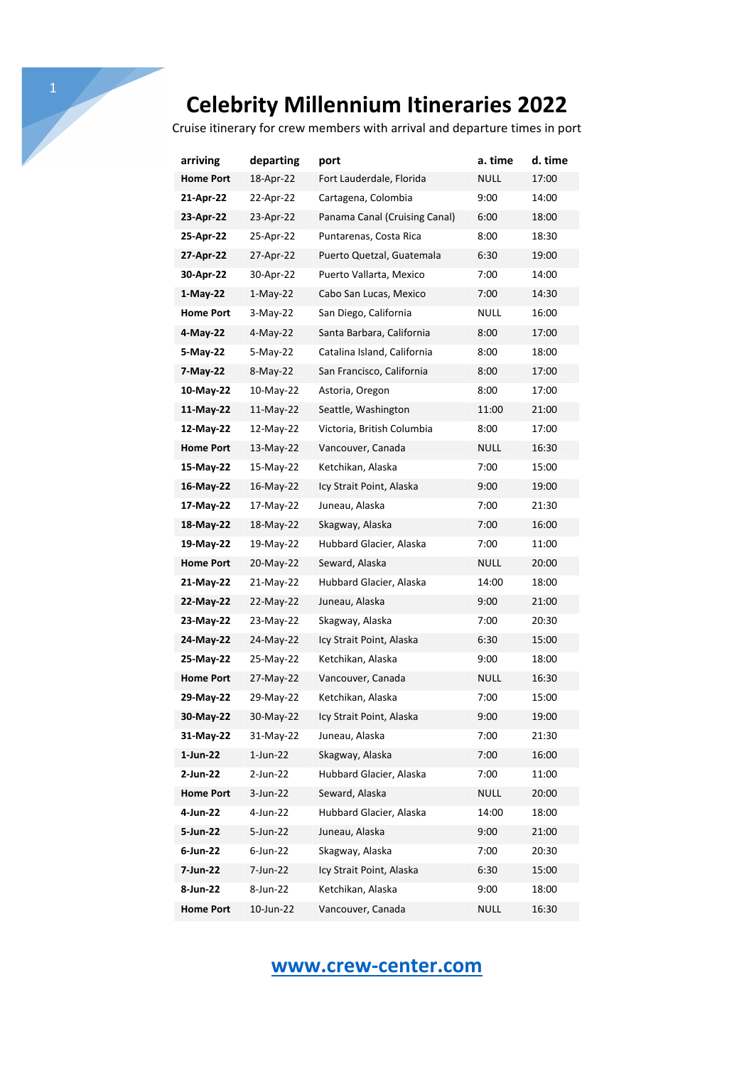Cruise itinerary for crew members with arrival and departure times in port

| arriving         | departing   | port                          | a. time     | d. time |
|------------------|-------------|-------------------------------|-------------|---------|
| <b>Home Port</b> | 18-Apr-22   | Fort Lauderdale, Florida      | <b>NULL</b> | 17:00   |
| 21-Apr-22        | 22-Apr-22   | Cartagena, Colombia           | 9:00        | 14:00   |
| 23-Apr-22        | 23-Apr-22   | Panama Canal (Cruising Canal) | 6:00        | 18:00   |
| 25-Apr-22        | 25-Apr-22   | Puntarenas, Costa Rica        | 8:00        | 18:30   |
| 27-Apr-22        | 27-Apr-22   | Puerto Quetzal, Guatemala     | 6:30        | 19:00   |
| 30-Apr-22        | 30-Apr-22   | Puerto Vallarta, Mexico       | 7:00        | 14:00   |
| $1-May-22$       | $1-May-22$  | Cabo San Lucas, Mexico        | 7:00        | 14:30   |
| <b>Home Port</b> | $3-May-22$  | San Diego, California         | NULL        | 16:00   |
| 4-May-22         | $4-May-22$  | Santa Barbara, California     | 8:00        | 17:00   |
| 5-May-22         | 5-May-22    | Catalina Island, California   | 8:00        | 18:00   |
| 7-May-22         | 8-May-22    | San Francisco, California     | 8:00        | 17:00   |
| 10-May-22        | 10-May-22   | Astoria, Oregon               | 8:00        | 17:00   |
| 11-May-22        | 11-May-22   | Seattle, Washington           | 11:00       | 21:00   |
| 12-May-22        | 12-May-22   | Victoria, British Columbia    | 8:00        | 17:00   |
| <b>Home Port</b> | 13-May-22   | Vancouver, Canada             | NULL        | 16:30   |
| 15-May-22        | 15-May-22   | Ketchikan, Alaska             | 7:00        | 15:00   |
| 16-May-22        | 16-May-22   | Icy Strait Point, Alaska      | 9:00        | 19:00   |
| 17-May-22        | 17-May-22   | Juneau, Alaska                | 7:00        | 21:30   |
| 18-May-22        | 18-May-22   | Skagway, Alaska               | 7:00        | 16:00   |
| 19-May-22        | 19-May-22   | Hubbard Glacier, Alaska       | 7:00        | 11:00   |
| <b>Home Port</b> | 20-May-22   | Seward, Alaska                | NULL        | 20:00   |
| 21-May-22        | 21-May-22   | Hubbard Glacier, Alaska       | 14:00       | 18:00   |
| 22-May-22        | 22-May-22   | Juneau, Alaska                | 9:00        | 21:00   |
| 23-May-22        | 23-May-22   | Skagway, Alaska               | 7:00        | 20:30   |
| 24-May-22        | 24-May-22   | Icy Strait Point, Alaska      | 6:30        | 15:00   |
| 25-May-22        | 25-May-22   | Ketchikan, Alaska             | 9:00        | 18:00   |
| <b>Home Port</b> | 27-May-22   | Vancouver, Canada             | <b>NULL</b> | 16:30   |
| 29-May-22        | 29-May-22   | Ketchikan, Alaska             | 7:00        | 15:00   |
| 30-May-22        | 30-May-22   | Icy Strait Point, Alaska      | 9:00        | 19:00   |
| 31-May-22        | 31-May-22   | Juneau, Alaska                | 7:00        | 21:30   |
| 1-Jun-22         | $1$ -Jun-22 | Skagway, Alaska               | 7:00        | 16:00   |
| 2-Jun-22         | 2-Jun-22    | Hubbard Glacier, Alaska       | 7:00        | 11:00   |
| <b>Home Port</b> | 3-Jun-22    | Seward, Alaska                | <b>NULL</b> | 20:00   |
| 4-Jun-22         | 4-Jun-22    | Hubbard Glacier, Alaska       | 14:00       | 18:00   |
| 5-Jun-22         | 5-Jun-22    | Juneau, Alaska                | 9:00        | 21:00   |
| 6-Jun-22         | 6-Jun-22    | Skagway, Alaska               | 7:00        | 20:30   |
| 7-Jun-22         | 7-Jun-22    | Icy Strait Point, Alaska      | 6:30        | 15:00   |
| 8-Jun-22         | 8-Jun-22    | Ketchikan, Alaska             | 9:00        | 18:00   |
| <b>Home Port</b> | 10-Jun-22   | Vancouver, Canada             | <b>NULL</b> | 16:30   |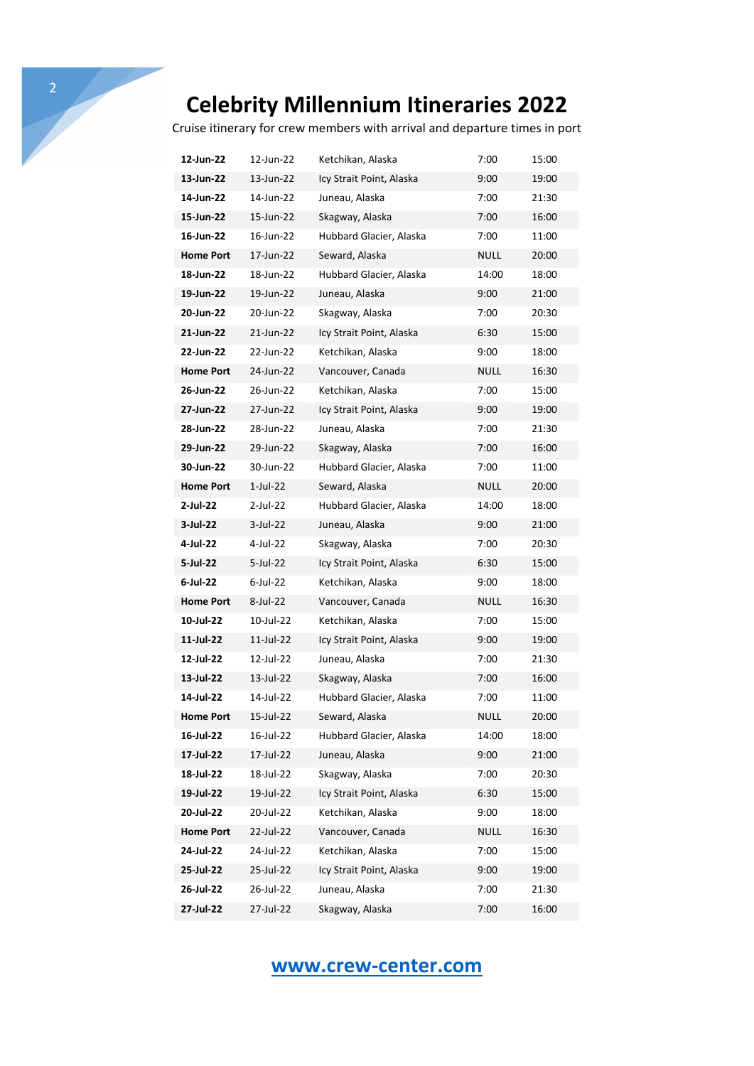Cruise itinerary for crew members with arrival and departure times in port

| 12-Jun-22        | 12-Jun-22   | Ketchikan, Alaska        | 7:00        | 15:00 |
|------------------|-------------|--------------------------|-------------|-------|
| 13-Jun-22        | 13-Jun-22   | Icy Strait Point, Alaska | 9:00        | 19:00 |
| 14-Jun-22        | 14-Jun-22   | Juneau, Alaska           | 7:00        | 21:30 |
| 15-Jun-22        | 15-Jun-22   | Skagway, Alaska          | 7:00        | 16:00 |
| 16-Jun-22        | 16-Jun-22   | Hubbard Glacier, Alaska  | 7:00        | 11:00 |
| <b>Home Port</b> | 17-Jun-22   | Seward, Alaska           | NULL        | 20:00 |
| 18-Jun-22        | 18-Jun-22   | Hubbard Glacier, Alaska  | 14:00       | 18:00 |
| 19-Jun-22        | 19-Jun-22   | Juneau, Alaska           | 9:00        | 21:00 |
| 20-Jun-22        | 20-Jun-22   | Skagway, Alaska          | 7:00        | 20:30 |
| 21-Jun-22        | 21-Jun-22   | Icy Strait Point, Alaska | 6:30        | 15:00 |
| 22-Jun-22        | 22-Jun-22   | Ketchikan, Alaska        | 9:00        | 18:00 |
| <b>Home Port</b> | 24-Jun-22   | Vancouver, Canada        | <b>NULL</b> | 16:30 |
| 26-Jun-22        | 26-Jun-22   | Ketchikan, Alaska        | 7:00        | 15:00 |
| 27-Jun-22        | 27-Jun-22   | Icy Strait Point, Alaska | 9:00        | 19:00 |
| 28-Jun-22        | 28-Jun-22   | Juneau, Alaska           | 7:00        | 21:30 |
| 29-Jun-22        | 29-Jun-22   | Skagway, Alaska          | 7:00        | 16:00 |
| 30-Jun-22        | 30-Jun-22   | Hubbard Glacier, Alaska  | 7:00        | 11:00 |
| <b>Home Port</b> | 1-Jul-22    | Seward, Alaska           | NULL        | 20:00 |
| 2-Jul-22         | $2$ -Jul-22 | Hubbard Glacier, Alaska  | 14:00       | 18:00 |
| 3-Jul-22         | 3-Jul-22    | Juneau, Alaska           | 9:00        | 21:00 |
| 4-Jul-22         | 4-Jul-22    | Skagway, Alaska          | 7:00        | 20:30 |
| 5-Jul-22         | 5-Jul-22    | Icy Strait Point, Alaska | 6:30        | 15:00 |
| 6-Jul-22         | $6$ -Jul-22 | Ketchikan, Alaska        | 9:00        | 18:00 |
| <b>Home Port</b> | 8-Jul-22    | Vancouver, Canada        | <b>NULL</b> | 16:30 |
| 10-Jul-22        | 10-Jul-22   | Ketchikan, Alaska        | 7:00        | 15:00 |
| 11-Jul-22        | 11-Jul-22   | Icy Strait Point, Alaska | 9:00        | 19:00 |
| 12-Jul-22        | 12-Jul-22   | Juneau, Alaska           | 7:00        | 21:30 |
| 13-Jul-22        | 13-Jul-22   | Skagway, Alaska          | 7:00        | 16:00 |
| 14-Jul-22        | 14-Jul-22   | Hubbard Glacier, Alaska  | 7:00        | 11:00 |
| <b>Home Port</b> | 15-Jul-22   | Seward, Alaska           | <b>NULL</b> | 20:00 |
| 16-Jul-22        | 16-Jul-22   | Hubbard Glacier, Alaska  | 14:00       | 18:00 |
| 17-Jul-22        | 17-Jul-22   | Juneau, Alaska           | 9:00        | 21:00 |
| 18-Jul-22        | 18-Jul-22   | Skagway, Alaska          | 7:00        | 20:30 |
| 19-Jul-22        | 19-Jul-22   | Icy Strait Point, Alaska | 6:30        | 15:00 |
| 20-Jul-22        | 20-Jul-22   | Ketchikan, Alaska        | 9:00        | 18:00 |
| <b>Home Port</b> | 22-Jul-22   | Vancouver, Canada        | <b>NULL</b> | 16:30 |
| 24-Jul-22        | 24-Jul-22   | Ketchikan, Alaska        | 7:00        | 15:00 |
| 25-Jul-22        | 25-Jul-22   | Icy Strait Point, Alaska | 9:00        | 19:00 |
| 26-Jul-22        | 26-Jul-22   | Juneau, Alaska           | 7:00        | 21:30 |
| 27-Jul-22        | 27-Jul-22   | Skagway, Alaska          | 7:00        | 16:00 |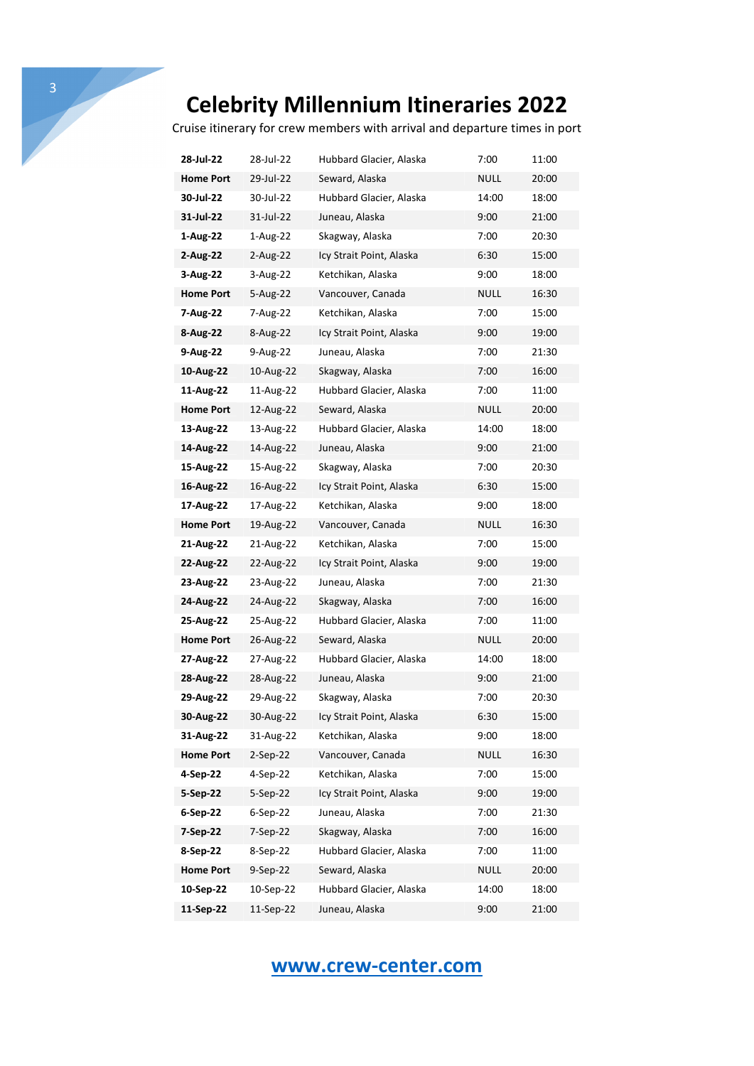Cruise itinerary for crew members with arrival and departure times in port

| 28-Jul-22        | 28-Jul-22  | Hubbard Glacier, Alaska  | 7:00        | 11:00 |
|------------------|------------|--------------------------|-------------|-------|
| <b>Home Port</b> | 29-Jul-22  | Seward, Alaska           | NULL        | 20:00 |
| 30-Jul-22        | 30-Jul-22  | Hubbard Glacier, Alaska  | 14:00       | 18:00 |
| 31-Jul-22        | 31-Jul-22  | Juneau, Alaska           | 9:00        | 21:00 |
| 1-Aug-22         | 1-Aug-22   | Skagway, Alaska          | 7:00        | 20:30 |
| 2-Aug-22         | 2-Aug-22   | Icy Strait Point, Alaska | 6:30        | 15:00 |
| 3-Aug-22         | 3-Aug-22   | Ketchikan, Alaska        | 9:00        | 18:00 |
| <b>Home Port</b> | 5-Aug-22   | Vancouver, Canada        | NULL        | 16:30 |
| 7-Aug-22         | 7-Aug-22   | Ketchikan, Alaska        | 7:00        | 15:00 |
| 8-Aug-22         | 8-Aug-22   | Icy Strait Point, Alaska | 9:00        | 19:00 |
| 9-Aug-22         | 9-Aug-22   | Juneau, Alaska           | 7:00        | 21:30 |
| 10-Aug-22        | 10-Aug-22  | Skagway, Alaska          | 7:00        | 16:00 |
| 11-Aug-22        | 11-Aug-22  | Hubbard Glacier, Alaska  | 7:00        | 11:00 |
| <b>Home Port</b> | 12-Aug-22  | Seward, Alaska           | NULL        | 20:00 |
| 13-Aug-22        | 13-Aug-22  | Hubbard Glacier, Alaska  | 14:00       | 18:00 |
| 14-Aug-22        | 14-Aug-22  | Juneau, Alaska           | 9:00        | 21:00 |
| 15-Aug-22        | 15-Aug-22  | Skagway, Alaska          | 7:00        | 20:30 |
| 16-Aug-22        | 16-Aug-22  | Icy Strait Point, Alaska | 6:30        | 15:00 |
| 17-Aug-22        | 17-Aug-22  | Ketchikan, Alaska        | 9:00        | 18:00 |
| <b>Home Port</b> | 19-Aug-22  | Vancouver, Canada        | NULL        | 16:30 |
| 21-Aug-22        | 21-Aug-22  | Ketchikan, Alaska        | 7:00        | 15:00 |
| 22-Aug-22        | 22-Aug-22  | Icy Strait Point, Alaska | 9:00        | 19:00 |
| 23-Aug-22        | 23-Aug-22  | Juneau, Alaska           | 7:00        | 21:30 |
| 24-Aug-22        | 24-Aug-22  | Skagway, Alaska          | 7:00        | 16:00 |
| 25-Aug-22        | 25-Aug-22  | Hubbard Glacier, Alaska  | 7:00        | 11:00 |
| <b>Home Port</b> | 26-Aug-22  | Seward, Alaska           | NULL        | 20:00 |
| 27-Aug-22        | 27-Aug-22  | Hubbard Glacier, Alaska  | 14:00       | 18:00 |
| 28-Aug-22        | 28-Aug-22  | Juneau, Alaska           | 9:00        | 21:00 |
| 29-Aug-22        | 29-Aug-22  | Skagway, Alaska          | 7:00        | 20:30 |
| 30-Aug-22        | 30-Aug-22  | Icy Strait Point, Alaska | 6:30        | 15:00 |
| 31-Aug-22        | 31-Aug-22  | Ketchikan, Alaska        | 9:00        | 18:00 |
| <b>Home Port</b> | 2-Sep-22   | Vancouver, Canada        | <b>NULL</b> | 16:30 |
| 4-Sep-22         | 4-Sep-22   | Ketchikan, Alaska        | 7:00        | 15:00 |
| 5-Sep-22         | 5-Sep-22   | Icy Strait Point, Alaska | 9:00        | 19:00 |
| 6-Sep-22         | $6-Sep-22$ | Juneau, Alaska           | 7:00        | 21:30 |
| 7-Sep-22         | 7-Sep-22   | Skagway, Alaska          | 7:00        | 16:00 |
| 8-Sep-22         | 8-Sep-22   | Hubbard Glacier, Alaska  | 7:00        | 11:00 |
| <b>Home Port</b> | 9-Sep-22   | Seward, Alaska           | NULL        | 20:00 |
| 10-Sep-22        | 10-Sep-22  | Hubbard Glacier, Alaska  | 14:00       | 18:00 |
| 11-Sep-22        | 11-Sep-22  | Juneau, Alaska           | 9:00        | 21:00 |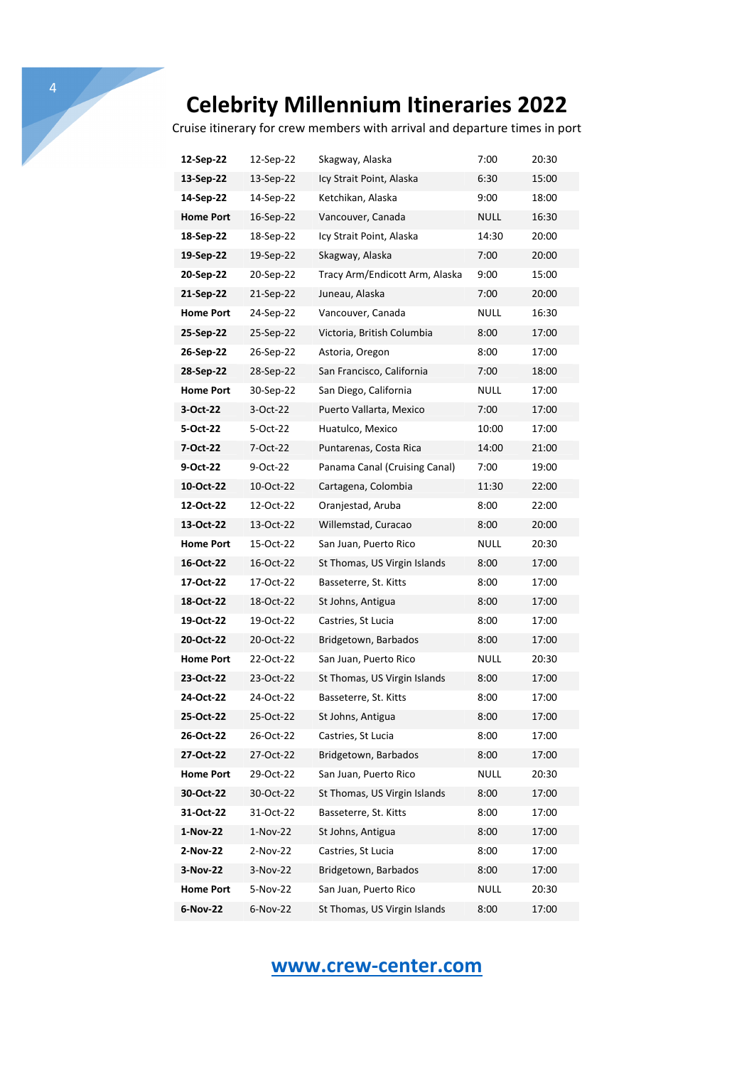Cruise itinerary for crew members with arrival and departure times in port

| 12-Sep-22        | 12-Sep-22  | Skagway, Alaska                | 7:00        | 20:30 |
|------------------|------------|--------------------------------|-------------|-------|
| 13-Sep-22        | 13-Sep-22  | Icy Strait Point, Alaska       | 6:30        | 15:00 |
| 14-Sep-22        | 14-Sep-22  | Ketchikan, Alaska              | 9:00        | 18:00 |
| <b>Home Port</b> | 16-Sep-22  | Vancouver, Canada              | NULL        | 16:30 |
| 18-Sep-22        | 18-Sep-22  | Icy Strait Point, Alaska       | 14:30       | 20:00 |
| 19-Sep-22        | 19-Sep-22  | Skagway, Alaska                | 7:00        | 20:00 |
| 20-Sep-22        | 20-Sep-22  | Tracy Arm/Endicott Arm, Alaska | 9:00        | 15:00 |
| 21-Sep-22        | 21-Sep-22  | Juneau, Alaska                 | 7:00        | 20:00 |
| <b>Home Port</b> | 24-Sep-22  | Vancouver, Canada              | NULL        | 16:30 |
| 25-Sep-22        | 25-Sep-22  | Victoria, British Columbia     | 8:00        | 17:00 |
| 26-Sep-22        | 26-Sep-22  | Astoria, Oregon                | 8:00        | 17:00 |
| 28-Sep-22        | 28-Sep-22  | San Francisco, California      | 7:00        | 18:00 |
| <b>Home Port</b> | 30-Sep-22  | San Diego, California          | NULL        | 17:00 |
| 3-Oct-22         | 3-Oct-22   | Puerto Vallarta, Mexico        | 7:00        | 17:00 |
| 5-Oct-22         | 5-Oct-22   | Huatulco, Mexico               | 10:00       | 17:00 |
| 7-Oct-22         | 7-Oct-22   | Puntarenas, Costa Rica         | 14:00       | 21:00 |
| 9-Oct-22         | 9-Oct-22   | Panama Canal (Cruising Canal)  | 7:00        | 19:00 |
| 10-Oct-22        | 10-Oct-22  | Cartagena, Colombia            | 11:30       | 22:00 |
| 12-Oct-22        | 12-Oct-22  | Oranjestad, Aruba              | 8:00        | 22:00 |
| 13-Oct-22        | 13-Oct-22  | Willemstad, Curacao            | 8:00        | 20:00 |
| <b>Home Port</b> | 15-Oct-22  | San Juan, Puerto Rico          | NULL        | 20:30 |
| 16-Oct-22        | 16-Oct-22  | St Thomas, US Virgin Islands   | 8:00        | 17:00 |
| 17-Oct-22        | 17-Oct-22  | Basseterre, St. Kitts          | 8:00        | 17:00 |
| 18-Oct-22        | 18-Oct-22  | St Johns, Antigua              | 8:00        | 17:00 |
| 19-Oct-22        | 19-Oct-22  | Castries, St Lucia             | 8:00        | 17:00 |
| 20-Oct-22        | 20-Oct-22  | Bridgetown, Barbados           | 8:00        | 17:00 |
| <b>Home Port</b> | 22-Oct-22  | San Juan, Puerto Rico          | NULL        | 20:30 |
| 23-Oct-22        | 23-Oct-22  | St Thomas, US Virgin Islands   | 8:00        | 17:00 |
| 24-Oct-22        | 24-Oct-22  | Basseterre, St. Kitts          | 8:00        | 17:00 |
| 25-0ct-22        | 25-Oct-22  | St Johns, Antigua              | 8:00        | 17:00 |
| 26-Oct-22        | 26-Oct-22  | Castries, St Lucia             | 8:00        | 17:00 |
| 27-Oct-22        | 27-Oct-22  | Bridgetown, Barbados           | 8:00        | 17:00 |
| <b>Home Port</b> | 29-Oct-22  | San Juan, Puerto Rico          | <b>NULL</b> | 20:30 |
| 30-Oct-22        | 30-Oct-22  | St Thomas, US Virgin Islands   | 8:00        | 17:00 |
| 31-Oct-22        | 31-Oct-22  | Basseterre, St. Kitts          | 8:00        | 17:00 |
| 1-Nov-22         | $1-Nov-22$ | St Johns, Antigua              | 8:00        | 17:00 |
| 2-Nov-22         | 2-Nov-22   | Castries, St Lucia             | 8:00        | 17:00 |
| 3-Nov-22         | 3-Nov-22   | Bridgetown, Barbados           | 8:00        | 17:00 |
| <b>Home Port</b> | 5-Nov-22   | San Juan, Puerto Rico          | <b>NULL</b> | 20:30 |
| 6-Nov-22         | 6-Nov-22   | St Thomas, US Virgin Islands   | 8:00        | 17:00 |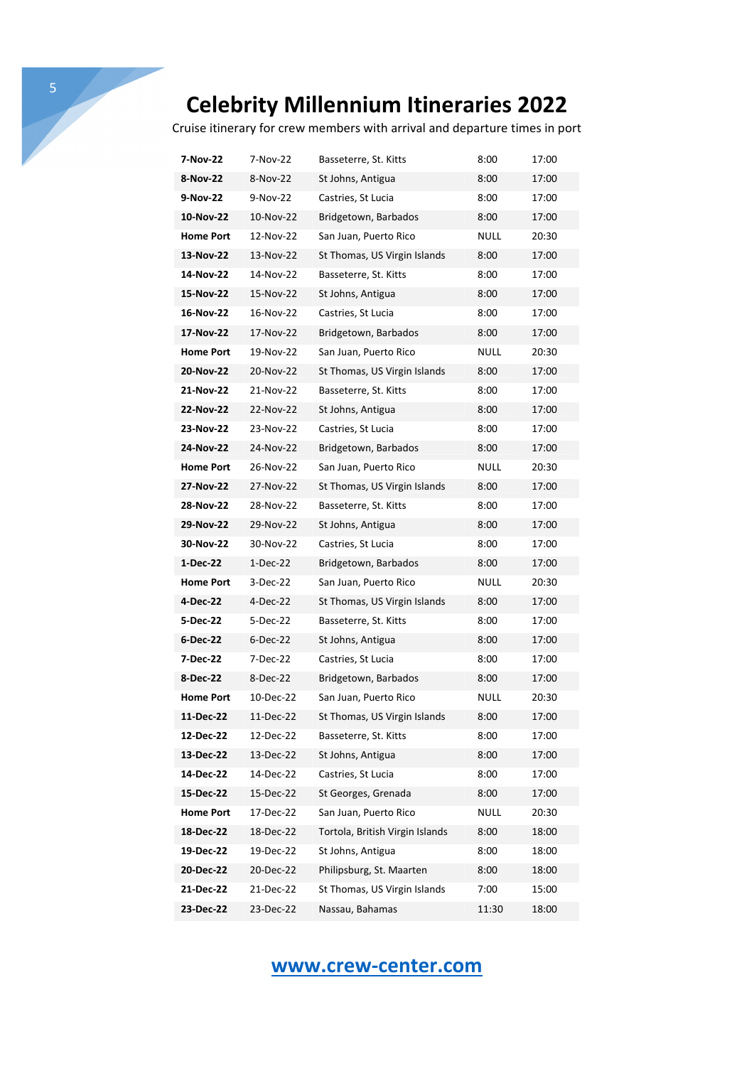Cruise itinerary for crew members with arrival and departure times in port

| 7-Nov-22         | 7-Nov-22   | Basseterre, St. Kitts           | 8:00        | 17:00 |
|------------------|------------|---------------------------------|-------------|-------|
| 8-Nov-22         | 8-Nov-22   | St Johns, Antigua               | 8:00        | 17:00 |
| 9-Nov-22         | 9-Nov-22   | Castries, St Lucia              | 8:00        | 17:00 |
| 10-Nov-22        | 10-Nov-22  | Bridgetown, Barbados            | 8:00        | 17:00 |
| <b>Home Port</b> | 12-Nov-22  | San Juan, Puerto Rico           | <b>NULL</b> | 20:30 |
| 13-Nov-22        | 13-Nov-22  | St Thomas, US Virgin Islands    | 8:00        | 17:00 |
| 14-Nov-22        | 14-Nov-22  | Basseterre, St. Kitts           | 8:00        | 17:00 |
| 15-Nov-22        | 15-Nov-22  | St Johns, Antigua               | 8:00        | 17:00 |
| 16-Nov-22        | 16-Nov-22  | Castries, St Lucia              | 8:00        | 17:00 |
| 17-Nov-22        | 17-Nov-22  | Bridgetown, Barbados            | 8:00        | 17:00 |
| <b>Home Port</b> | 19-Nov-22  | San Juan, Puerto Rico           | NULL        | 20:30 |
| 20-Nov-22        | 20-Nov-22  | St Thomas, US Virgin Islands    | 8:00        | 17:00 |
| 21-Nov-22        | 21-Nov-22  | Basseterre, St. Kitts           | 8:00        | 17:00 |
| 22-Nov-22        | 22-Nov-22  | St Johns, Antigua               | 8:00        | 17:00 |
| 23-Nov-22        | 23-Nov-22  | Castries, St Lucia              | 8:00        | 17:00 |
| 24-Nov-22        | 24-Nov-22  | Bridgetown, Barbados            | 8:00        | 17:00 |
| <b>Home Port</b> | 26-Nov-22  | San Juan, Puerto Rico           | NULL        | 20:30 |
| 27-Nov-22        | 27-Nov-22  | St Thomas, US Virgin Islands    | 8:00        | 17:00 |
| 28-Nov-22        | 28-Nov-22  | Basseterre, St. Kitts           | 8:00        | 17:00 |
| 29-Nov-22        | 29-Nov-22  | St Johns, Antigua               | 8:00        | 17:00 |
| 30-Nov-22        | 30-Nov-22  | Castries, St Lucia              | 8:00        | 17:00 |
| 1-Dec-22         | $1-Dec-22$ | Bridgetown, Barbados            | 8:00        | 17:00 |
| <b>Home Port</b> | 3-Dec-22   | San Juan, Puerto Rico           | NULL        | 20:30 |
| 4-Dec-22         | 4-Dec-22   | St Thomas, US Virgin Islands    | 8:00        | 17:00 |
| 5-Dec-22         | 5-Dec-22   | Basseterre, St. Kitts           | 8:00        | 17:00 |
| 6-Dec-22         | 6-Dec-22   | St Johns, Antigua               | 8:00        | 17:00 |
| 7-Dec-22         | 7-Dec-22   | Castries, St Lucia              | 8:00        | 17:00 |
| 8-Dec-22         | 8-Dec-22   | Bridgetown, Barbados            | 8:00        | 17:00 |
| <b>Home Port</b> | 10-Dec-22  | San Juan, Puerto Rico           | NULL        | 20:30 |
| 11-Dec-22        | 11-Dec-22  | St Thomas, US Virgin Islands    | 8:00        | 17:00 |
| 12-Dec-22        | 12-Dec-22  | Basseterre, St. Kitts           | 8:00        | 17:00 |
| 13-Dec-22        | 13-Dec-22  | St Johns, Antigua               | 8:00        | 17:00 |
| 14-Dec-22        | 14-Dec-22  | Castries, St Lucia              | 8:00        | 17:00 |
| 15-Dec-22        | 15-Dec-22  | St Georges, Grenada             | 8:00        | 17:00 |
| <b>Home Port</b> | 17-Dec-22  | San Juan, Puerto Rico           | <b>NULL</b> | 20:30 |
| 18-Dec-22        | 18-Dec-22  | Tortola, British Virgin Islands | 8:00        | 18:00 |
| 19-Dec-22        | 19-Dec-22  | St Johns, Antigua               | 8:00        | 18:00 |
| 20-Dec-22        | 20-Dec-22  | Philipsburg, St. Maarten        | 8:00        | 18:00 |
| 21-Dec-22        | 21-Dec-22  | St Thomas, US Virgin Islands    | 7:00        | 15:00 |
| 23-Dec-22        | 23-Dec-22  | Nassau, Bahamas                 | 11:30       | 18:00 |